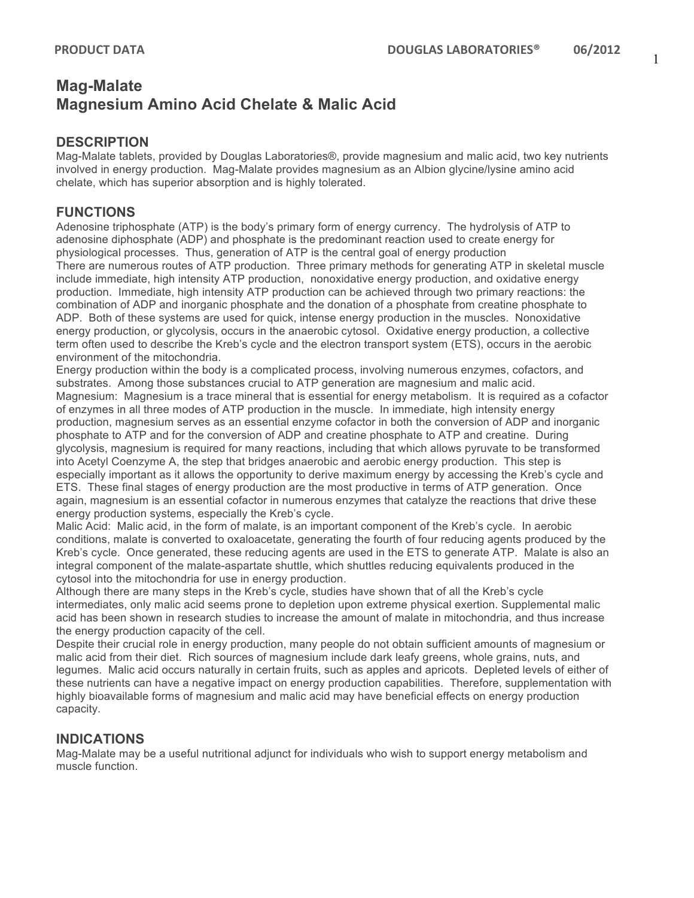# **Mag-Malate Magnesium Amino Acid Chelate & Malic Acid**

## **DESCRIPTION**

Mag-Malate tablets, provided by Douglas Laboratories®, provide magnesium and malic acid, two key nutrients involved in energy production. Mag-Malate provides magnesium as an Albion glycine/lysine amino acid chelate, which has superior absorption and is highly tolerated.

## **FUNCTIONS**

Adenosine triphosphate (ATP) is the body's primary form of energy currency. The hydrolysis of ATP to adenosine diphosphate (ADP) and phosphate is the predominant reaction used to create energy for physiological processes. Thus, generation of ATP is the central goal of energy production There are numerous routes of ATP production. Three primary methods for generating ATP in skeletal muscle include immediate, high intensity ATP production, nonoxidative energy production, and oxidative energy production. Immediate, high intensity ATP production can be achieved through two primary reactions: the combination of ADP and inorganic phosphate and the donation of a phosphate from creatine phosphate to ADP. Both of these systems are used for quick, intense energy production in the muscles. Nonoxidative energy production, or glycolysis, occurs in the anaerobic cytosol. Oxidative energy production, a collective term often used to describe the Kreb's cycle and the electron transport system (ETS), occurs in the aerobic environment of the mitochondria.

Energy production within the body is a complicated process, involving numerous enzymes, cofactors, and substrates. Among those substances crucial to ATP generation are magnesium and malic acid. Magnesium: Magnesium is a trace mineral that is essential for energy metabolism. It is required as a cofactor of enzymes in all three modes of ATP production in the muscle. In immediate, high intensity energy production, magnesium serves as an essential enzyme cofactor in both the conversion of ADP and inorganic phosphate to ATP and for the conversion of ADP and creatine phosphate to ATP and creatine. During glycolysis, magnesium is required for many reactions, including that which allows pyruvate to be transformed into Acetyl Coenzyme A, the step that bridges anaerobic and aerobic energy production. This step is especially important as it allows the opportunity to derive maximum energy by accessing the Kreb's cycle and ETS. These final stages of energy production are the most productive in terms of ATP generation. Once again, magnesium is an essential cofactor in numerous enzymes that catalyze the reactions that drive these energy production systems, especially the Kreb's cycle.

Malic Acid: Malic acid, in the form of malate, is an important component of the Kreb's cycle. In aerobic conditions, malate is converted to oxaloacetate, generating the fourth of four reducing agents produced by the Kreb's cycle. Once generated, these reducing agents are used in the ETS to generate ATP. Malate is also an integral component of the malate-aspartate shuttle, which shuttles reducing equivalents produced in the cytosol into the mitochondria for use in energy production.

Although there are many steps in the Kreb's cycle, studies have shown that of all the Kreb's cycle intermediates, only malic acid seems prone to depletion upon extreme physical exertion. Supplemental malic acid has been shown in research studies to increase the amount of malate in mitochondria, and thus increase the energy production capacity of the cell.

Despite their crucial role in energy production, many people do not obtain sufficient amounts of magnesium or malic acid from their diet. Rich sources of magnesium include dark leafy greens, whole grains, nuts, and legumes. Malic acid occurs naturally in certain fruits, such as apples and apricots. Depleted levels of either of these nutrients can have a negative impact on energy production capabilities. Therefore, supplementation with highly bioavailable forms of magnesium and malic acid may have beneficial effects on energy production capacity.

# **INDICATIONS**

Mag-Malate may be a useful nutritional adjunct for individuals who wish to support energy metabolism and muscle function.

1